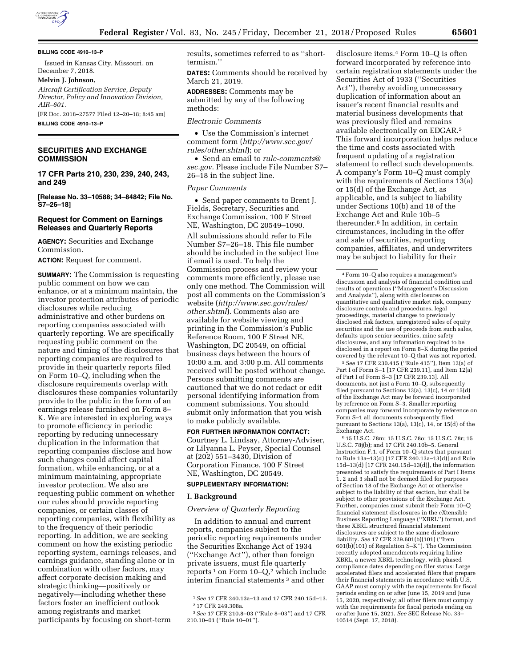

#### **BILLING CODE 4910–13–P**

Issued in Kansas City, Missouri, on December 7, 2018.

### **Melvin J. Johnson,**

*Aircraft Certification Service, Deputy Director, Policy and Innovation Division, AIR–601.* 

[FR Doc. 2018–27577 Filed 12–20–18; 8:45 am] **BILLING CODE 4910–13–P** 

# **SECURITIES AND EXCHANGE COMMISSION**

**17 CFR Parts 210, 230, 239, 240, 243, and 249** 

**[Release No. 33–10588; 34–84842; File No. S7–26–18]** 

# **Request for Comment on Earnings Releases and Quarterly Reports**

**AGENCY:** Securities and Exchange Commission.

**ACTION:** Request for comment.

**SUMMARY:** The Commission is requesting public comment on how we can enhance, or at a minimum maintain, the investor protection attributes of periodic disclosures while reducing administrative and other burdens on reporting companies associated with quarterly reporting. We are specifically requesting public comment on the nature and timing of the disclosures that reporting companies are required to provide in their quarterly reports filed on Form 10–Q, including when the disclosure requirements overlap with disclosures these companies voluntarily provide to the public in the form of an earnings release furnished on Form 8– K. We are interested in exploring ways to promote efficiency in periodic reporting by reducing unnecessary duplication in the information that reporting companies disclose and how such changes could affect capital formation, while enhancing, or at a minimum maintaining, appropriate investor protection. We also are requesting public comment on whether our rules should provide reporting companies, or certain classes of reporting companies, with flexibility as to the frequency of their periodic reporting. In addition, we are seeking comment on how the existing periodic reporting system, earnings releases, and earnings guidance, standing alone or in combination with other factors, may affect corporate decision making and strategic thinking—positively or negatively—including whether these factors foster an inefficient outlook among registrants and market participants by focusing on short-term

results, sometimes referred to as ''shorttermism.''

**DATES:** Comments should be received by March 21, 2019.

**ADDRESSES:** Comments may be submitted by any of the following methods:

### *Electronic Comments*

• Use the Commission's internet comment form (*[http://www.sec.gov/](http://www.sec.gov/rules/other.shtml)  [rules/other.shtml](http://www.sec.gov/rules/other.shtml)*); or

• Send an email to *[rule-comments@](mailto:rule-comments@sec.gov) [sec.gov](mailto:rule-comments@sec.gov)*. Please include File Number S7– 26–18 in the subject line.

## *Paper Comments*

• Send paper comments to Brent J. Fields, Secretary, Securities and Exchange Commission, 100 F Street NE, Washington, DC 20549–1090. All submissions should refer to File Number S7–26–18. This file number should be included in the subject line if email is used. To help the Commission process and review your comments more efficiently, please use only one method. The Commission will post all comments on the Commission's website (*[http://www.sec.gov/rules/](http://www.sec.gov/rules/other.shtml) [other.shtml](http://www.sec.gov/rules/other.shtml)*). Comments also are available for website viewing and printing in the Commission's Public Reference Room, 100 F Street NE, Washington, DC 20549, on official business days between the hours of 10:00 a.m. and 3:00 p.m. All comments received will be posted without change. Persons submitting comments are cautioned that we do not redact or edit personal identifying information from comment submissions. You should submit only information that you wish to make publicly available.

**FOR FURTHER INFORMATION CONTACT:**  Courtney L. Lindsay, Attorney-Adviser, or Lilyanna L. Peyser, Special Counsel at (202) 551–3430, Division of Corporation Finance, 100 F Street NE, Washington, DC 20549.

### **SUPPLEMENTARY INFORMATION:**

## **I. Background**

### *Overview of Quarterly Reporting*

In addition to annual and current reports, companies subject to the periodic reporting requirements under the Securities Exchange Act of 1934 (''Exchange Act''), other than foreign private issuers, must file quarterly reports  $1$  on Form  $10-Q$ , which include interim financial statements 3 and other

disclosure items.4 Form 10–Q is often forward incorporated by reference into certain registration statements under the Securities Act of 1933 (''Securities Act''), thereby avoiding unnecessary duplication of information about an issuer's recent financial results and material business developments that was previously filed and remains available electronically on EDGAR.5 This forward incorporation helps reduce the time and costs associated with frequent updating of a registration statement to reflect such developments. A company's Form 10–Q must comply with the requirements of Sections 13(a) or 15(d) of the Exchange Act, as applicable, and is subject to liability under Sections 10(b) and 18 of the Exchange Act and Rule 10b–5 thereunder.6 In addition, in certain circumstances, including in the offer and sale of securities, reporting companies, affiliates, and underwriters may be subject to liability for their

5*See* 17 CFR 230.415 (''Rule 415''), Item 12(a) of Part I of Form S–1 [17 CFR 239.11], and Item 12(a) of Part I of Form S–3 [17 CFR 239.13]. All documents, not just a Form 10–Q, subsequently filed pursuant to Sections 13(a), 13(c), 14 or 15(d) of the Exchange Act may be forward incorporated by reference on Form S–3. Smaller reporting companies may forward incorporate by reference on Form S–1 all documents subsequently filed pursuant to Sections 13(a), 13(c), 14, or 15(d) of the Exchange Act.

6 15 U.S.C. 78m; 15 U.S.C. 78o; 15 U.S.C. 78r; 15 U.S.C. 78j(b); and 17 CFR 240.10b–5. General Instruction F.1. of Form 10–Q states that pursuant to Rule 13a–13(d) [17 CFR 240.13a–13(d)] and Rule 15d–13(d) [17 CFR 240.15d–13(d)], the information presented to satisfy the requirements of Part I Items 1, 2 and 3 shall not be deemed filed for purposes of Section 18 of the Exchange Act or otherwise subject to the liability of that section, but shall be subject to other provisions of the Exchange Act. Further, companies must submit their Form 10–Q financial statement disclosures in the eXtensible Business Reporting Language (''XBRL'') format, and these XBRL structured financial statement disclosures are subject to the same disclosure liability. *See* 17 CFR 229.601(b)(101) (''Item 601(b)(101) of Regulation S–K''). The Commission recently adopted amendments requiring Inline XBRL, a newer XBRL technology, with phased compliance dates depending on filer status: Large accelerated filers and accelerated filers that prepare their financial statements in accordance with U.S. GAAP must comply with the requirements for fiscal periods ending on or after June 15, 2019 and June 15, 2020, respectively; all other filers must comply with the requirements for fiscal periods ending on or after June 15, 2021. *See* SEC Release No. 33– 10514 (Sept. 17, 2018).

<sup>1</sup>*See* 17 CFR 240.13a–13 and 17 CFR 240.15d–13. 2 17 CFR 249.308a.

<sup>3</sup>*See* 17 CFR 210.8–03 (''Rule 8–03'') and 17 CFR 210.10–01 (''Rule 10–01'').

<sup>4</sup>Form 10–Q also requires a management's discussion and analysis of financial condition and results of operations (''Management's Discussion and Analysis''), along with disclosures on quantitative and qualitative market risk, company disclosure controls and procedures, legal proceedings, material changes to previously disclosed risk factors, unregistered sales of equity securities and the use of proceeds from such sales, defaults upon senior securities, mine safety disclosures, and any information required to be disclosed in a report on Form 8–K during the period covered by the relevant 10–Q that was not reported.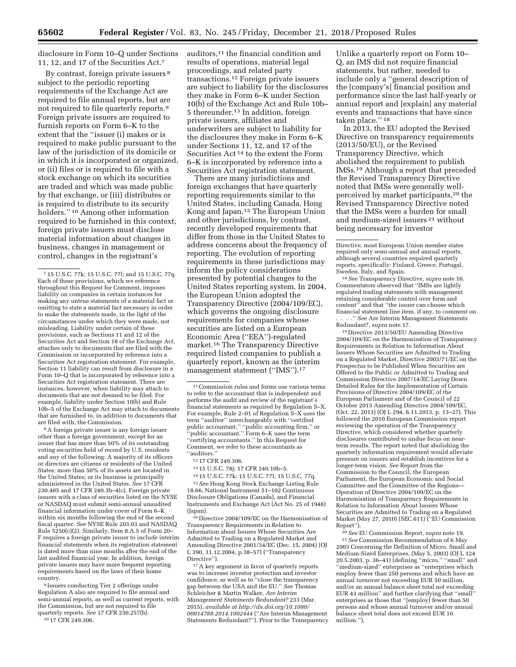disclosure in Form 10–Q under Sections 11, 12, and 17 of the Securities Act.7

By contrast, foreign private issuers 8 subject to the periodic reporting requirements of the Exchange Act are required to file annual reports, but are not required to file quarterly reports.9 Foreign private issuers are required to furnish reports on Form 6–K to the extent that the ''issuer (i) makes or is required to make public pursuant to the law of the jurisdiction of its domicile or in which it is incorporated or organized, or (ii) files or is required to file with a stock exchange on which its securities are traded and which was made public by that exchange, or (iii) distributes or is required to distribute to its security holders.'' 10 Among other information required to be furnished in this context, foreign private issuers must disclose material information about changes in business, changes in management or control, changes in the registrant's

8A foreign private issuer is any foreign issuer other than a foreign government, except for an issuer that has more than 50% of its outstanding voting securities held of record by U.S. residents and any of the following: A majority of its officers or directors are citizens or residents of the United States; more than 50% of its assets are located in the United States; or its business is principally administered in the United States. *See* 17 CFR 230.405 and 17 CFR 240.3b–4(c). Foreign private issuers with a class of securities listed on the NYSE or NASDAQ must submit semi-annual unaudited financial information under cover of Form 6–K within six months following the end of the second fiscal quarter. *See* NYSE Rule 203.03 and NASDAQ Rule 5250(c)(2). Similarly, Item 8.A.5 of Form 20– F requires a foreign private issuer to include interim financial statements when its registration statement is dated more than nine months after the end of the last audited financial year. In addition, foreign private issuers may have more frequent reporting requirements based on the laws of their home country.

9 Issuers conducting Tier 2 offerings under Regulation A also are required to file annual and semi-annual reports, as well as current reports, with the Commission, but are not required to file quarterly reports. *See* 17 CFR 230.257(b). 10 17 CFR 249.306.

There are many jurisdictions and foreign exchanges that have quarterly reporting requirements similar to the United States, including Canada, Hong Kong and Japan.15 The European Union and other jurisdictions, by contrast, recently developed requirements that differ from those in the United States to address concerns about the frequency of reporting. The evolution of reporting requirements in these jurisdictions may inform the policy considerations presented by potential changes to the United States reporting system. In 2004, the European Union adopted the Transparency Directive (2004/109/EC), which governs the ongoing disclosure requirements for companies whose securities are listed on a European Economic Area (''EEA'')-regulated market.16 The Transparency Directive required listed companies to publish a quarterly report, known as the interim management statement ("IMS").<sup>17</sup>

12 17 CFR 249.306.

14 15 U.S.C. 77k; 15 U.S.C. 77l; 15 U.S.C. 77q.

15*See* Hong Kong Stock Exchange Listing Rule 18.66, National Instrument 51–102 Continuous Disclosure Obligations (Canada), and Financial Instruments and Exchange Act (Act No. 25 of 1948) (Japan).

16 Directive 2004/109/EC on the Harmonisation of Transparency Requirements in Relation to Information about Issuers Whose Securities Are Admitted to Trading on a Regulated Market and Amending Directive 2001/34/EC (Dec. 15, 2004) (OJ L 390, 31.12.2004, p.38–57) (''Transparency Directive'').

17A key argument in favor of quarterly reports was to increase investor protection and investor confidence, as well as to ''close the transparency gap between the USA and the EU.'' *See* Thomas Schleicher & Martin Walker, *Are Interim Management Statements Redundant?* 233 (Mar. 2015), *available at [http://dx.doi.org/10.1080/](http://dx.doi.org/10.1080/00014788.2014.1002444) [00014788.2014.1002444](http://dx.doi.org/10.1080/00014788.2014.1002444)* (''Are Interim Management Statements Redundant?''). Prior to the Transparency

Unlike a quarterly report on Form 10– Q, an IMS did not require financial statements, but rather, needed to include only a ''general description of the [company's] financial position and performance since the last half-yearly or annual report and [explain] any material events and transactions that have since taken place.'' 18

In 2013, the EU adopted the Revised Directive on transparency requirements (2013/50/EU), or the Revised Transparency Directive, which abolished the requirement to publish IMSs.19 Although a report that preceded the Revised Transparency Directive noted that IMSs were generally wellperceived by market participants,20 the Revised Transparency Directive noted that the IMSs were a burden for small and medium-sized issuers 21 without being necessary for investor

<sup>18</sup> See Transparency Directive, *supra* note 16. Commentators observed that ''IMSs are lightly regulated trading statements with management retaining considerable control over form and content'' and that ''the issuer can choose which financial statement line item, if any, to comment on ." See Are Interim Management Statements

Redundant?, *supra* note 17.

19 Directive 2013/50/EU Amending Directive 2004/109/EC on the Harmonisation of Transparency Requirements in Relation to Information About Issuers Whose Securities are Admitted to Trading on a Regulated Market, Directive 2003/71/EC on the Prospectus to be Published When Securities are Offered to the Public or Admitted to Trading and Commission Directive 2007/14/EC Laying Down Detailed Rules for the Implementation of Certain Provisions of Directive 2004/109/EC of the European Parliament and of the Council of 22 October 2013 Amending Directive 2004/109/EC, (Oct. 22, 2013) (OJ L 294, 6.11.2013, p. 13–27). This followed the 2010 European Commission report reviewing the operation of the Transparency Directive, which considered whether quarterly disclosures contributed to undue focus on nearterm results. The report noted that abolishing the quarterly information requirement would alleviate pressure on issuers and establish incentives for a longer-term vision. *See* Report from the Commission to the Council, the European Parliament, the European Economic and Social Committee and the Committee of the Regions— Operation of Directive 2004/109/EC on the Harmonisation of Transparency Requirements in Relation to Information About Issuers Whose Securities are Admitted to Trading on a Regulated Market (May 27, 2010) (SEC 611) (''EU Commission

<sup>20</sup> See EU Commission Report, *supra* note 19. 21*See* Commission Recommendation of 6 May 2003 Concerning the Definition of Micro, Small and Medium-Sized Enterprises, (May 5, 2003) (OJ L 124 20.5.2003, p. 36–41) (defining ''micro,'' ''small'' and ''medium-sized'' enterprises as ''enterprises which employ fewer than 250 persons and which have an annual turnover not exceeding EUR 50 million, and/or an annual balance sheet total not exceeding EUR 43 million'' and further clarifying that ''small'' enterprises as those that ''[employ] fewer than 50 persons and whose annual turnover and/or annual balance sheet total does not exceed EUR 10 million.'').

<sup>7</sup> 15 U.S.C. 77k; 15 U.S.C. 77l; and 15 U.S.C. 77q. Each of these provisions, which we reference throughout this Request for Comment, imposes liability on companies in certain instances for making any untrue statements of a material fact or omitting to state a material fact necessary in order to make the statements made, in the light of the circumstances under which they were made, not misleading. Liability under certain of these provisions, such as Sections 11 and 12 of the Securities Act and Section 18 of the Exchange Act, attaches only to documents that are filed with the Commission or incorporated by reference into a Securities Act registration statement. For example, Section 11 liability can result from disclosure in a Form 10–Q that is incorporated by reference into a Securities Act registration statement. There are instances, however, when liability may attach to documents that are not deemed to be filed. For example, liability under Section 10(b) and Rule 10b–5 of the Exchange Act may attach to documents that are furnished to, in addition to documents that are filed with, the Commission.

auditors,11 the financial condition and results of operations, material legal proceedings, and related party transactions.12 Foreign private issuers are subject to liability for the disclosures they make in Form 6–K under Section 10(b) of the Exchange Act and Rule 10b– 5 thereunder.13 In addition, foreign private issuers, affiliates and underwriters are subject to liability for the disclosures they make in Form 6–K under Sections 11, 12, and 17 of the Securities Act 14 to the extent the Form 6–K is incorporated by reference into a Securities Act registration statement.

<sup>11</sup>Commission rules and forms use various terms to refer to the accountant that is independent and performs the audit and review of the registrant's financial statements as required by Regulation S–X. For example, Rule 2–01 of Regulation S–X uses the term ''auditor'' interchangeably with ''certified public accountant,'' ''public accounting firm,'' or ''public accountant.'' Form 6–K uses the term ''certifying accountants.'' In this Request for Comment, we refer to these accountants as ''auditors.''

<sup>13</sup> 15 U.S.C. 78j; 17 CFR 240.10b–5.

Directive, most European Union member states required only semi-annual and annual reports, although several countries required quarterly reports, specifically: Finland, Greece, Portugal, Sweden, Italy, and Spain.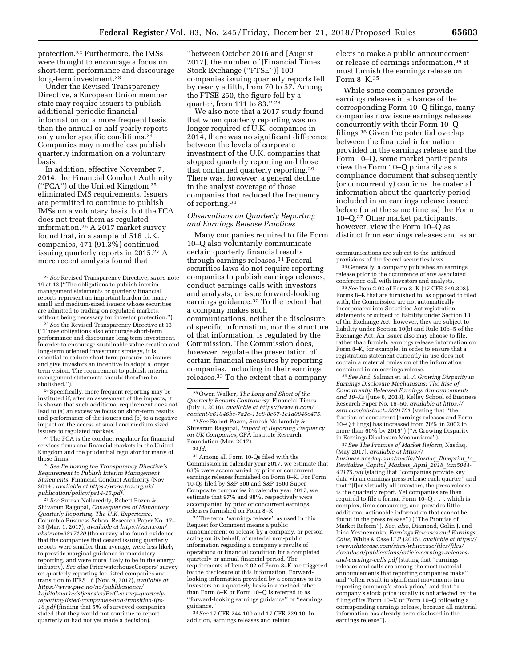protection.22 Furthermore, the IMSs were thought to encourage a focus on short-term performance and discourage long-term investment.23

Under the Revised Transparency Directive, a European Union member state may require issuers to publish additional periodic financial information on a more frequent basis than the annual or half-yearly reports only under specific conditions.24 Companies may nonetheless publish quarterly information on a voluntary basis.

In addition, effective November 7, 2014, the Financial Conduct Authority (''FCA'') of the United Kingdom 25 eliminated IMS requirements. Issuers are permitted to continue to publish IMSs on a voluntary basis, but the FCA does not treat them as regulated information.26 A 2017 market survey found that, in a sample of 516 U.K. companies, 471 (91.3%) continued issuing quarterly reports in 2015.27 A more recent analysis found that

<sup>23</sup> See the Revised Transparency Directive at 13 (''Those obligations also encourage short-term performance and discourage long-term investment. In order to encourage sustainable value creation and long-term oriented investment strategy, it is essential to reduce short-term pressure on issuers and give investors an incentive to adopt a longer term vision. The requirement to publish interim management statements should therefore be abolished.'').

24Specifically, more frequent reporting may be instituted if, after an assessment of the impacts, it is shown that such additional requirement does not lead to (a) an excessive focus on short-term results and performance of the issuers and (b) to a negative impact on the access of small and medium sized issuers to regulated markets.

25The FCA is the conduct regulator for financial services firms and financial markets in the United Kingdom and the prudential regulator for many of those firms.

26*See Removing the Transparency Directive's Requirement to Publish Interim Management Statements,* Financial Conduct Authority (Nov. 2014), *available at [https://www.fca.org.uk/](https://www.fca.org.uk/publication/policy/ps14-15.pdf) [publication/policy/ps14-15.pdf](https://www.fca.org.uk/publication/policy/ps14-15.pdf)*.

27*See* Suresh Nallareddy, Robert Pozen & Shivaram Rajgopal, *Consequences of Mandatory Quarterly Reporting: The U.K. Experience,*  Columbia Business School Research Paper No. 17– 33 (Mar. 1, 2017), *available at [https://ssrn.com/](https://ssrn.com/abstract=2817120)  [abstract=2817120](https://ssrn.com/abstract=2817120)* (the survey also found evidence that the companies that ceased issuing quarterly reports were smaller than average, were less likely to provide marginal guidance in mandatory reporting, and were more likely to be in the energy industry). *See also* PricewaterhouseCoopers' survey on quarterly reporting for listed companies and transition to IFRS 16 (Nov. 9, 2017), *available at [https://www.pwc.no/no/publikasjoner/](https://www.pwc.no/no/publikasjoner/kapitalmarkedstjenester/PwC-survey-quarterly-reporting-listed-companies-and-transition-ifrs-16.pdf) [kapitalmarkedstjenester/PwC-survey-quarterly](https://www.pwc.no/no/publikasjoner/kapitalmarkedstjenester/PwC-survey-quarterly-reporting-listed-companies-and-transition-ifrs-16.pdf)[reporting-listed-companies-and-transition-ifrs-](https://www.pwc.no/no/publikasjoner/kapitalmarkedstjenester/PwC-survey-quarterly-reporting-listed-companies-and-transition-ifrs-16.pdf)[16.pdf](https://www.pwc.no/no/publikasjoner/kapitalmarkedstjenester/PwC-survey-quarterly-reporting-listed-companies-and-transition-ifrs-16.pdf)* (finding that 5% of surveyed companies stated that they would not continue to report quarterly or had not yet made a decision).

''between October 2016 and [August 2017], the number of [Financial Times Stock Exchange (''FTSE'')] 100 companies issuing quarterly reports fell by nearly a fifth, from 70 to 57. Among the FTSE 250, the figure fell by a quarter, from 111 to 83.'' 28

We also note that a 2017 study found that when quarterly reporting was no longer required of U.K. companies in 2014, there was no significant difference between the levels of corporate investment of the U.K. companies that stopped quarterly reporting and those that continued quarterly reporting.29 There was, however, a general decline in the analyst coverage of those companies that reduced the frequency of reporting.30

## *Observations on Quarterly Reporting and Earnings Release Practices*

Many companies required to file Form 10–Q also voluntarily communicate certain quarterly financial results through earnings releases.31 Federal securities laws do not require reporting companies to publish earnings releases, conduct earnings calls with investors and analysts, or issue forward-looking earnings guidance.32 To the extent that a company makes such communications, neither the disclosure of specific information, nor the structure of that information, is regulated by the Commission. The Commission does, however, regulate the presentation of certain financial measures by reporting companies, including in their earnings releases.33 To the extent that a company

28Owen Walker, *The Long and Short of the Quarterly Reports Controversy,* Financial Times (July 1, 2018), *available at [https://www.ft.com/](https://www.ft.com/content/e61046bc-7a2e-11e8-8e67-1e1a0846c475)  [content/e61046bc-7a2e-11e8-8e67-1e1a0846c475](https://www.ft.com/content/e61046bc-7a2e-11e8-8e67-1e1a0846c475)*.

29*See* Robert Pozen, Suresh Nallareddy & Shivaram Rajgopal, *Impact of Reporting Frequency on UK Companies,* CFA Institute Research Foundation (Mar. 2017).

30 *Id.* 

 $^{\rm 31}\!$  Among all Form 10-Qs filed with the Commission in calendar year 2017, we estimate that 63% were accompanied by prior or concurrent earnings releases furnished on Form 8–K. For Form 10-Qs filed by S&P 500 and S&P 1500 Super Composite companies in calendar year 2017, we estimate that 97% and 98%, respectively were accompanied by prior or concurrent earnings releases furnished on Form 8–K.

32The term ''earnings release'' as used in this Request for Comment means a public announcement or release by a company, or person acting on its behalf, of material non-public information regarding a company's results of operations or financial condition for a completed quarterly or annual financial period. The requirements of Item 2.02 of Form 8–K are triggered by the disclosure of this information. Forwardlooking information provided by a company to its investors on a quarterly basis in a method other than Form 8–K or Form 10–Q is referred to as ''forward-looking earnings guidance'' or ''earnings guidance.''

33*See* 17 CFR 244.100 and 17 CFR 229.10. In addition, earnings releases and related

elects to make a public announcement or release of earnings information,34 it must furnish the earnings release on Form 8–K.35

While some companies provide earnings releases in advance of the corresponding Form 10–Q filings, many companies now issue earnings releases concurrently with their Form 10–Q filings.36 Given the potential overlap between the financial information provided in the earnings release and the Form 10–Q, some market participants view the Form 10–Q primarily as a compliance document that subsequently (or concurrently) confirms the material information about the quarterly period included in an earnings release issued before (or at the same time as) the Form 10–Q.37 Other market participants, however, view the Form 10–Q as distinct from earnings releases and as an

34 Generally, a company publishes an earnings release prior to the occurrence of any associated conference call with investors and analysts.

35*See* Item 2.02 of Form 8–K [17 CFR 249.308]. Forms 8–K that are furnished to, as opposed to filed with, the Commission are not automatically incorporated into Securities Act registration statements or subject to liability under Section 18 of the Exchange Act; however, they are subject to liability under Section 10(b) and Rule 10b–5 of the Exchange Act. An issuer also may choose to file, rather than furnish, earnings release information on Form 8–K, for example, in order to ensure that a registration statement currently in use does not contain a material omission of the information contained in an earnings release.

36*See* Arif, Salman et. al. *A Growing Disparity in Earnings Disclosure Mechanisms: The Rise of Concurrently Released Earnings Announcements and 10–Ks* (June 6, 2018), Kelley School of Business Research Paper No. 16–50, *available at [https://](https://ssrn.com/abstract=2801701) [ssrn.com/abstract=2801701](https://ssrn.com/abstract=2801701)* (stating that ''the fraction of concurrent [earnings releases and Form 10–Q filings] has increased from 20% in 2002 to more than 60% by 2015'') (''A Growing Disparity in Earnings Disclosure Mechanisms'').

37*See The Promise of Market Reform,* Nasdaq, (May 2017), *available at [https://](https://business.nasdaq.com/media/Nasdaq_Blueprint_to_Revitalize_Capital_Markets_April_2018_tcm5044-43175.pdf) [business.nasdaq.com/media/Nasdaq](https://business.nasdaq.com/media/Nasdaq_Blueprint_to_Revitalize_Capital_Markets_April_2018_tcm5044-43175.pdf)*\_*Blueprint*\_*to*\_ *[Revitalize](https://business.nasdaq.com/media/Nasdaq_Blueprint_to_Revitalize_Capital_Markets_April_2018_tcm5044-43175.pdf)*\_*Capital*\_*Markets*\_*April*\_*2018*\_*tcm5044- [43175.pdf](https://business.nasdaq.com/media/Nasdaq_Blueprint_to_Revitalize_Capital_Markets_April_2018_tcm5044-43175.pdf)* (stating that ''companies provide key data via an earnings press release each quarter'' and that ''[f]or virtually all investors, the press release is the quarterly report. Yet companies are then required to file a formal Form 10–Q . . . which is complex, time-consuming, and provides little additional actionable information that cannot be found in the press release'') (''The Promise of Market Reform''). *See, also,* Diamond, Colin J. and Irina Yevmenenko, *Earnings Releases and Earnings Calls,* White & Case LLP (2015), *available at [https://](https://www.whitecase.com/sites/whitecase/files/files/download/publications/article-earnings-releases-and-earnings-calls.pdf)  [www.whitecase.com/sites/whitecase/files/files/](https://www.whitecase.com/sites/whitecase/files/files/download/publications/article-earnings-releases-and-earnings-calls.pdf) [download/publications/article-earnings-releases](https://www.whitecase.com/sites/whitecase/files/files/download/publications/article-earnings-releases-and-earnings-calls.pdf)[and-earnings-calls.pdf](https://www.whitecase.com/sites/whitecase/files/files/download/publications/article-earnings-releases-and-earnings-calls.pdf)* (stating that ''earnings releases and calls are among the most material announcements that reporting companies make'' and ''often result in significant movements in a reporting company's stock price,'' and that ''a company's stock price usually is not affected by the filing of its Form 10–K or Form 10–Q following a corresponding earnings release, because all material information has already been disclosed in the earnings release'').

<sup>22</sup>*See* Revised Transparency Directive, *supra* note 19 at 13 (''The obligations to publish interim management statements or quarterly financial reports represent an important burden for many small and medium-sized issuers whose securities are admitted to trading on regulated markets,<br>without being necessary for investor protection.").

communications are subject to the antifraud provisions of the federal securities laws.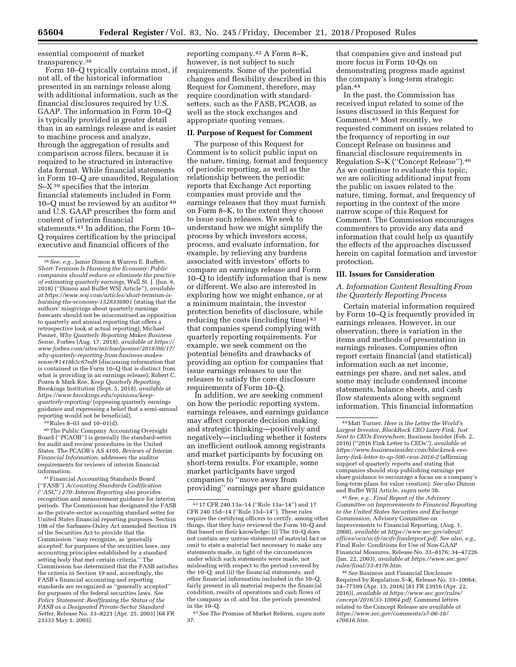essential component of market transparency.38

Form 10–Q typically contains most, if not all, of the historical information presented in an earnings release along with additional information, such as the financial disclosures required by U.S. GAAP. The information in Form 10–Q is typically provided in greater detail than in an earnings release and is easier to machine process and analyze, through the aggregation of results and comparison across filers, because it is required to be structured in interactive data format. While financial statements in Form 10–Q are unaudited, Regulation S–X 39 specifies that the interim financial statements included in Form 10–Q must be reviewed by an auditor 40 and U.S. GAAP prescribes the form and content of interim financial statements.41 In addition, the Form 10– Q requires certification by the principal executive and financial officers of the

39Rules 8–03 and 10–01(d).

40The Public Company Accounting Oversight Board (''PCAOB'') is generally the standard-setter for audit and review procedures in the United States. The PCAOB's AS 4105, *Reviews of Interim Financial Information,* addresses the auditor requirements for reviews of interim financial information.

41Financial Accounting Standards Board (''FASB'') *Accounting Standards Codification (*''*ASC*''*) 270: Interim Reporting* also provides recognition and measurement guidance for interim periods. The Commission has designated the FASB as the private-sector accounting standard setter for United States financial reporting purposes. Section 108 of the Sarbanes-Oxley Act amended Section 19 of the Securities Act to provide that the Commission ''may recognize, as 'generally accepted' for purposes of the securities laws, any accounting principles established by a standard setting body that met certain criteria.'' The Commission has determined that the FASB satisfies the criteria in Section 19 and, accordingly, the FASB's financial accounting and reporting standards are recognized as ''generally accepted'' for purposes of the federal securities laws. *See Policy Statement: Reaffirming the Status of the FASB as a Designated Private-Sector Standard Setter,* Release No. 33–8221 (Apr. 25, 2003) [68 FR 23333 May 1, 2003].

reporting company.42 A Form 8–K, however, is not subject to such requirements. Some of the potential changes and flexibility described in this Request for Comment, therefore, may require coordination with standardsetters, such as the FASB, PCAOB, as well as the stock exchanges and appropriate quoting venues.

# **II. Purpose of Request for Comment**

The purpose of this Request for Comment is to solicit public input on the nature, timing, format and frequency of periodic reporting, as well as the relationship between the periodic reports that Exchange Act reporting companies must provide and the earnings releases that they must furnish on Form 8–K, to the extent they choose to issue such releases. We seek to understand how we might simplify the process by which investors access, process, and evaluate information, for example, by relieving any burdens associated with investors' efforts to compare an earnings release and Form 10–Q to identify information that is new or different. We also are interested in exploring how we might enhance, or at a minimum maintain, the investor protection benefits of disclosure, while reducing the costs (including time) 43 that companies spend complying with quarterly reporting requirements. For example, we seek comment on the potential benefits and drawbacks of providing an option for companies that issue earnings releases to use the releases to satisfy the core disclosure requirements of Form 10–Q.

In addition, we are seeking comment on how the periodic reporting system, earnings releases, and earnings guidance may affect corporate decision making and strategic thinking—positively and negatively—including whether it fosters an inefficient outlook among registrants and market participants by focusing on short-term results. For example, some market participants have urged companies to ''move away from providing'' earnings per share guidance

that companies give and instead put more focus in Form 10-Qs on demonstrating progress made against the company's long-term strategic plan.44

In the past, the Commission has received input related to some of the issues discussed in this Request for Comment.45 Most recently, we requested comment on issues related to the frequency of reporting in our Concept Release on business and financial disclosure requirements in Regulation S–K (''Concept Release'').46 As we continue to evaluate this topic, we are soliciting additional input from the public on issues related to the nature, timing, format, and frequency of reporting in the context of the more narrow scope of this Request for Comment. The Commission encourages commenters to provide any data and information that could help us quantify the effects of the approaches discussed herein on capital formation and investor protection.

### **III. Issues for Consideration**

# *A. Information Content Resulting From the Quarterly Reporting Process*

Certain material information required by Form 10–Q is frequently provided in earnings releases. However, in our observation, there is variation in the items and methods of presentation in earnings releases. Companies often report certain financial (and statistical) information such as net income, earnings per share, and net sales, and some may include condensed income statements, balance sheets, and cash flow statements along with segment information. This financial information

45*See, e.g., Final Report of the Advisory Committee on Improvements to Financial Reporting to the United States Securities and Exchange Commission,* Advisory Committee on Improvements to Financial Reporting, (Aug. 1, 2008), *available at [https://www.sec.gov/about/](https://www.sec.gov/about/offices/oca/acifr/acifr-finalreport.pdf)  [offices/oca/acifr/acifr-finalreport.pdf.](https://www.sec.gov/about/offices/oca/acifr/acifr-finalreport.pdf) See also, e.g.,*  Final Rule: Conditions for Use of Non-GAAP Financial Measures, Release No. 33–8176; 34–47226 (Jan. 22, 2003), *available at [https://www.sec.gov/](https://www.sec.gov/rules/final/33-8176.htm)  [rules/final/33-8176.htm.](https://www.sec.gov/rules/final/33-8176.htm)* 

46*See* Business and Financial Disclosure Required by Regulation S–K, Release No. 33–10064; 34–77599 (Apr. 13, 2016) [81 FR 23916 (Apr. 22, 2016)], *available at [https://www.sec.gov/rules/](https://www.sec.gov/rules/concept/2016/33-10064.pdf) [concept/2016/33-10064.pdf.](https://www.sec.gov/rules/concept/2016/33-10064.pdf)* Comment letters related to the Concept Release are *available at [https://www.sec.gov/comments/s7-06-16/](https://www.sec.gov/comments/s7-06-16/s70616.htm) [s70616.htm.](https://www.sec.gov/comments/s7-06-16/s70616.htm)* 

<sup>38</sup>*See, e.g.,* Jamie Dimon & Warren E. Buffett, *Short-Termism Is Harming the Economy: Public companies should reduce or eliminate the practice of estimating quarterly earnings,* Wall St. J. (Jun. 6, 2018) (''Dimon and Buffet WSJ Article''), *available at [https://www.wsj.com/articles/short-termism-is](https://www.wsj.com/articles/short-termism-is-harming-the-economy-1528336801)[harming-the-economy-1528336801](https://www.wsj.com/articles/short-termism-is-harming-the-economy-1528336801)* (stating that the authors' misgivings about quarterly earnings forecasts should not be misconstrued as opposition to quarterly and annual reporting that offers a retrospective look at actual reporting); Michael Posner, *Why Quarterly Reporting Makes Business Sense,* Forbes (Aug. 17, 2018), *available at [https://](https://www.forbes.com/sites/michaelposner/2018/08/17/why-quarterly-reporting-from-business-makes-sense/#1416b5c67ed8)  [www.forbes.com/sites/michaelposner/2018/08/17/](https://www.forbes.com/sites/michaelposner/2018/08/17/why-quarterly-reporting-from-business-makes-sense/#1416b5c67ed8)  why-quarterly-reporting-from-business-makes[sense/#1416b5c67ed8](https://www.forbes.com/sites/michaelposner/2018/08/17/why-quarterly-reporting-from-business-makes-sense/#1416b5c67ed8)* (discussing information that is contained in the Form 10–Q that is distinct from what is providing in an earnings release); Robert C. Pozen & Mark Roe, *Keep Quarterly Reporting,*  Brookings Institution (Sept. 5, 2018), *available at [https://www.brookings.edu/opinions/keep](https://www.brookings.edu/opinions/keep-quarterly-reporting/)[quarterly-reporting/](https://www.brookings.edu/opinions/keep-quarterly-reporting/)* (opposing quarterly earnings guidance and expressing a belief that a semi-annual reporting would not be beneficial).

<sup>42</sup> 17 CFR 240.13a–14 (''Rule 13a–14'') and 17 CFR 240.15d–14 (''Rule 15d–14''). These rules require the certifying officers to certify, among other things, that they have reviewed the Form 10–Q and that based on their knowledge: (i) The 10–Q does not contain any untrue statement of material fact or omit to state a material fact necessary to make any statements made, in light of the circumstances under which such statements were made, not misleading with respect to the period covered by the 10–Q; and (ii) the financial statements, and other financial information included in the 10–Q, fairly present in all material respects the financial condition, results of operations and cash flows of the company as of, and for, the periods presented in the 10–Q.

<sup>43</sup>*See* The Promise of Market Reform, *supra* note 37.

<sup>44</sup>Matt Turner, *Here is the Letter the World's Largest Investor, BlackRock CEO Larry Fink, Just Sent to CEOs Everywhere,* Business Insider (Feb. 2, 2016) (''2016 Fink Letter to CEOs''), *available at [https://www.businessinsider.com/blackrock-ceo](https://www.businessinsider.com/blackrock-ceo-larry-fink-letter-to-sp-500-ceos-2016-2)[larry-fink-letter-to-sp-500-ceos-2016-2](https://www.businessinsider.com/blackrock-ceo-larry-fink-letter-to-sp-500-ceos-2016-2)* (affirming support of quarterly reports and stating that companies should stop publishing earnings per share guidance to encourage a focus on a company's long-term plans for value creation). *See also* Dimon and Buffet WSJ Article, *supra* note 38.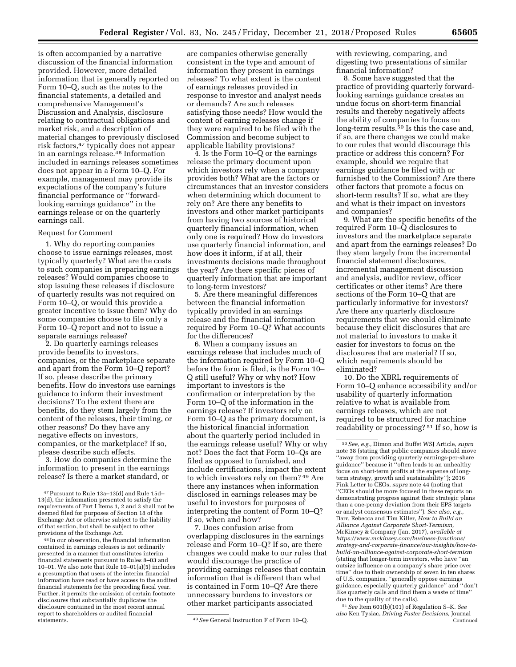is often accompanied by a narrative discussion of the financial information provided. However, more detailed information that is generally reported on Form 10–Q, such as the notes to the financial statements, a detailed and comprehensive Management's Discussion and Analysis, disclosure relating to contractual obligations and market risk, and a description of material changes to previously disclosed risk factors,47 typically does not appear in an earnings release.48 Information included in earnings releases sometimes does not appear in a Form 10–Q. For example, management may provide its expectations of the company's future financial performance or ''forwardlooking earnings guidance'' in the earnings release or on the quarterly earnings call.

#### Request for Comment

1. Why do reporting companies choose to issue earnings releases, most typically quarterly? What are the costs to such companies in preparing earnings releases? Would companies choose to stop issuing these releases if disclosure of quarterly results was not required on Form 10–Q, or would this provide a greater incentive to issue them? Why do some companies choose to file only a Form 10–Q report and not to issue a separate earnings release?

2. Do quarterly earnings releases provide benefits to investors, companies, or the marketplace separate and apart from the Form 10–Q report? If so, please describe the primary benefits. How do investors use earnings guidance to inform their investment decisions? To the extent there are benefits, do they stem largely from the content of the releases, their timing, or other reasons? Do they have any negative effects on investors, companies, or the marketplace? If so, please describe such effects.

3. How do companies determine the information to present in the earnings release? Is there a market standard, or

48 In our observation, the financial information contained in earnings releases is not ordinarily presented in a manner that constitutes interim financial statements pursuant to Rules 8–03 and 10–01. We also note that Rule 10–01(a)(5) includes a presumption that users of the interim financial information have read or have access to the audited financial statements for the preceding fiscal year. Further, it permits the omission of certain footnote disclosures that substantially duplicates the disclosure contained in the most recent annual report to shareholders or audited financial

are companies otherwise generally consistent in the type and amount of information they present in earnings releases? To what extent is the content of earnings releases provided in response to investor and analyst needs or demands? Are such releases satisfying those needs? How would the content of earning releases change if they were required to be filed with the Commission and become subject to applicable liability provisions?

4. Is the Form 10–Q or the earnings release the primary document upon which investors rely when a company provides both? What are the factors or circumstances that an investor considers when determining which document to rely on? Are there any benefits to investors and other market participants from having two sources of historical quarterly financial information, when only one is required? How do investors use quarterly financial information, and how does it inform, if at all, their investments decisions made throughout the year? Are there specific pieces of quarterly information that are important to long-term investors?

5. Are there meaningful differences between the financial information typically provided in an earnings release and the financial information required by Form 10–Q? What accounts for the differences?

6. When a company issues an earnings release that includes much of the information required by Form 10–Q before the form is filed, is the Form 10– Q still useful? Why or why not? How important to investors is the confirmation or interpretation by the Form 10–Q of the information in the earnings release? If investors rely on Form 10–Q as the primary document, is the historical financial information about the quarterly period included in the earnings release useful? Why or why not? Does the fact that Form 10–Qs are filed as opposed to furnished, and include certifications, impact the extent to which investors rely on them? 49 Are there any instances when information disclosed in earnings releases may be useful to investors for purposes of interpreting the content of Form 10–Q? If so, when and how?

7. Does confusion arise from overlapping disclosures in the earnings release and Form 10–Q? If so, are there changes we could make to our rules that would discourage the practice of providing earnings releases that contain information that is different than what is contained in Form 10–Q? Are there unnecessary burdens to investors or other market participants associated

with reviewing, comparing, and digesting two presentations of similar financial information?

8. Some have suggested that the practice of providing quarterly forwardlooking earnings guidance creates an undue focus on short-term financial results and thereby negatively affects the ability of companies to focus on long-term results.<sup>50</sup> Is this the case and, if so, are there changes we could make to our rules that would discourage this practice or address this concern? For example, should we require that earnings guidance be filed with or furnished to the Commission? Are there other factors that promote a focus on short-term results? If so, what are they and what is their impact on investors and companies?

9. What are the specific benefits of the required Form 10–Q disclosures to investors and the marketplace separate and apart from the earnings releases? Do they stem largely from the incremental financial statement disclosures, incremental management discussion and analysis, auditor review, officer certificates or other items? Are there sections of the Form 10–Q that are particularly informative for investors? Are there any quarterly disclosure requirements that we should eliminate because they elicit disclosures that are not material to investors to make it easier for investors to focus on the disclosures that are material? If so, which requirements should be eliminated?

10. Do the XBRL requirements of Form 10–Q enhance accessibility and/or usability of quarterly information relative to what is available from earnings releases, which are not required to be structured for machine readability or processing? 51 If so, how is

51*See* Item 601(b)(101) of Regulation S–K. *See also* Ken Tysiac, *Driving Faster Decisions,* Journal Continued

<sup>47</sup>Pursuant to Rule 13a–13(d) and Rule 15d– 13(d), the information presented to satisfy the requirements of Part I Items 1, 2 and 3 shall not be deemed filed for purposes of Section 18 of the Exchange Act or otherwise subject to the liability of that section, but shall be subject to other provisions of the Exchange Act.

<sup>49</sup> See General Instruction F of Form 10–Q.

<sup>50</sup>*See, e.g.,* Dimon and Buffet WSJ Article, *supra*  note 38 (stating that public companies should move ''away from providing quarterly earnings-per-share guidance'' because it ''often leads to an unhealthy focus on short-term profits at the expense of longterm strategy, growth and sustainability''); 2016 Fink Letter to CEOs, *supra* note 44 (noting that ''CEOs should be more focused in these reports on demonstrating progress against their strategic plans than a one-penny deviation from their EPS targets or analyst consensus estimates''). *See also, e.g.,*  Darr, Rebecca and Tim Killer, *How to Build an Alliance Against Corporate Short-Termism,*  McKinsey & Company (Jan. 2017), *available at [https://www.mckinsey.com/business-functions/](https://www.mckinsey.com/business-functions/strategy-and-corporate-finance/our-insights/how-to-build-an-alliance-against-corporate-short-termism)  [strategy-and-corporate-finance/our-insights/how-to](https://www.mckinsey.com/business-functions/strategy-and-corporate-finance/our-insights/how-to-build-an-alliance-against-corporate-short-termism)[build-an-alliance-against-corporate-short-termism](https://www.mckinsey.com/business-functions/strategy-and-corporate-finance/our-insights/how-to-build-an-alliance-against-corporate-short-termism)*  (stating that longer-term investors, who have ''an outsize influence on a company's share price over time'' due to their ownership of seven in ten shares of U.S. companies, ''generally oppose earnings guidance, especially quarterly guidance'' and ''don't like quarterly calls and find them a waste of time'' due to the quality of the calls).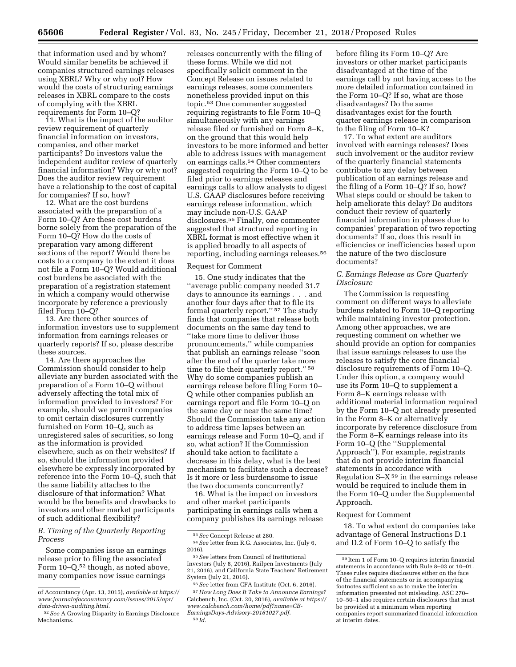that information used and by whom? Would similar benefits be achieved if companies structured earnings releases using XBRL? Why or why not? How would the costs of structuring earnings releases in XBRL compare to the costs of complying with the XBRL requirements for Form 10–Q?

11. What is the impact of the auditor review requirement of quarterly financial information on investors, companies, and other market participants? Do investors value the independent auditor review of quarterly financial information? Why or why not? Does the auditor review requirement have a relationship to the cost of capital for companies? If so, how?

12. What are the cost burdens associated with the preparation of a Form 10–Q? Are these cost burdens borne solely from the preparation of the Form 10–Q? How do the costs of preparation vary among different sections of the report? Would there be costs to a company to the extent it does not file a Form 10–Q? Would additional cost burdens be associated with the preparation of a registration statement in which a company would otherwise incorporate by reference a previously filed Form 10–Q?

13. Are there other sources of information investors use to supplement information from earnings releases or quarterly reports? If so, please describe these sources.

14. Are there approaches the Commission should consider to help alleviate any burden associated with the preparation of a Form 10–Q without adversely affecting the total mix of information provided to investors? For example, should we permit companies to omit certain disclosures currently furnished on Form 10–Q, such as unregistered sales of securities, so long as the information is provided elsewhere, such as on their websites? If so, should the information provided elsewhere be expressly incorporated by reference into the Form 10–Q, such that the same liability attaches to the disclosure of that information? What would be the benefits and drawbacks to investors and other market participants of such additional flexibility?

# *B. Timing of the Quarterly Reporting Process*

Some companies issue an earnings release prior to filing the associated Form  $10-Q$ ,<sup>52</sup> though, as noted above, many companies now issue earnings

releases concurrently with the filing of these forms. While we did not specifically solicit comment in the Concept Release on issues related to earnings releases, some commenters nonetheless provided input on this topic.53 One commenter suggested requiring registrants to file Form 10–Q simultaneously with any earnings release filed or furnished on Form 8–K, on the ground that this would help investors to be more informed and better able to address issues with management on earnings calls.54 Other commenters suggested requiring the Form 10–Q to be filed prior to earnings releases and earnings calls to allow analysts to digest U.S. GAAP disclosures before receiving earnings release information, which may include non-U.S. GAAP disclosures.55 Finally, one commenter suggested that structured reporting in XBRL format is most effective when it is applied broadly to all aspects of reporting, including earnings releases.56

#### Request for Comment

15. One study indicates that the ''average public company needed 31.7 days to announce its earnings . . . and another four days after that to file its formal quarterly report.'' 57 The study finds that companies that release both documents on the same day tend to ''take more time to deliver those pronouncements,'' while companies that publish an earnings release ''soon after the end of the quarter take more time to file their quarterly report."<sup>58</sup> Why do some companies publish an earnings release before filing Form 10– Q while other companies publish an earnings report and file Form 10–Q on the same day or near the same time? Should the Commission take any action to address time lapses between an earnings release and Form 10–Q, and if so, what action? If the Commission should take action to facilitate a decrease in this delay, what is the best mechanism to facilitate such a decrease? Is it more or less burdensome to issue the two documents concurrently?

16. What is the impact on investors and other market participants participating in earnings calls when a company publishes its earnings release before filing its Form 10–Q? Are investors or other market participants disadvantaged at the time of the earnings call by not having access to the more detailed information contained in the Form 10–Q? If so, what are those disadvantages? Do the same disadvantages exist for the fourth quarter earnings release in comparison to the filing of Form 10–K?

17. To what extent are auditors involved with earnings releases? Does such involvement or the auditor review of the quarterly financial statements contribute to any delay between publication of an earnings release and the filing of a Form 10–Q? If so, how? What steps could or should be taken to help ameliorate this delay? Do auditors conduct their review of quarterly financial information in phases due to companies' preparation of two reporting documents? If so, does this result in efficiencies or inefficiencies based upon the nature of the two disclosure documents?

# *C. Earnings Release as Core Quarterly Disclosure*

The Commission is requesting comment on different ways to alleviate burdens related to Form 10–Q reporting while maintaining investor protection. Among other approaches, we are requesting comment on whether we should provide an option for companies that issue earnings releases to use the releases to satisfy the core financial disclosure requirements of Form 10–Q. Under this option, a company would use its Form 10–Q to supplement a Form 8–K earnings release with additional material information required by the Form 10–Q not already presented in the Form 8–K or alternatively incorporate by reference disclosure from the Form 8–K earnings release into its Form 10–Q (the ''Supplemental Approach''). For example, registrants that do not provide interim financial statements in accordance with Regulation  $S-X<sup>59</sup>$  in the earnings release would be required to include them in the Form 10–Q under the Supplemental Approach.

### Request for Comment

18. To what extent do companies take advantage of General Instructions D.1 and D.2 of Form 10–Q to satisfy the

of Accountancy (Apr. 13, 2015), *available at [https://](https://www.journalofaccountancy.com/issues/2015/apr/data-driven-auditing.html)  [www.journalofaccountancy.com/issues/2015/apr/](https://www.journalofaccountancy.com/issues/2015/apr/data-driven-auditing.html)  [data-driven-auditing.html.](https://www.journalofaccountancy.com/issues/2015/apr/data-driven-auditing.html)* 

<sup>52</sup>*See* A Growing Disparity in Earnings Disclosure Mechanisms.

<sup>53</sup>*See* Concept Release at 280.

<sup>54</sup>*See* letter from R.G. Associates, Inc. (July 6, 2016).

<sup>55</sup>*See* letters from Council of Institutional Investors (July 8, 2016), Railpen Investments (July 21, 2016), and California State Teachers' Retirement System (July 21, 2016).

<sup>56</sup>*See* letter from CFA Institute (Oct. 6, 2016). 57*How Long Does It Take to Announce Earnings?*  Calcbench, Inc. (Oct. 20, 2016), *available at [https://](https://www.calcbench.com/home/pdf?name=CB-EarningsDays-Advisory-20161027.pdf) [www.calcbench.com/home/pdf?name=CB-](https://www.calcbench.com/home/pdf?name=CB-EarningsDays-Advisory-20161027.pdf)[EarningsDays-Advisory-20161027.pdf](https://www.calcbench.com/home/pdf?name=CB-EarningsDays-Advisory-20161027.pdf)*. 58 *Id.* 

<sup>59</sup> Item 1 of Form 10–Q requires interim financial statements in accordance with Rule 8–03 or 10–01. These rules require disclosures either on the face of the financial statements or in accompanying footnotes sufficient so as to make the interim information presented not misleading. ASC 270– 10–50–1 also requires certain disclosures that must be provided at a minimum when reporting companies report summarized financial information at interim dates.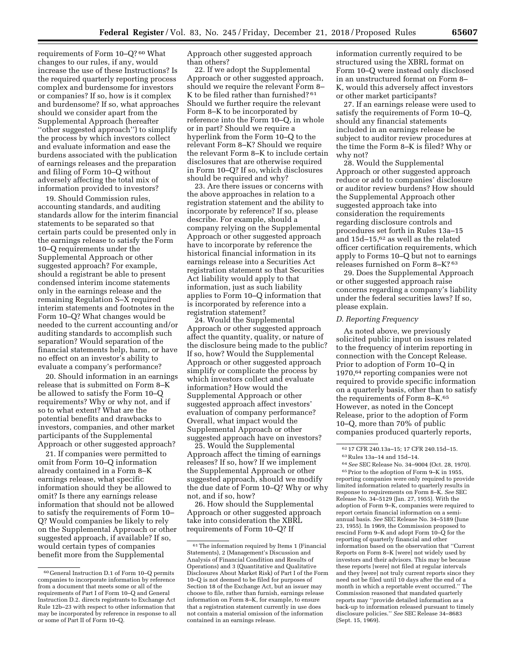requirements of Form 10–Q? 60 What changes to our rules, if any, would increase the use of these Instructions? Is the required quarterly reporting process complex and burdensome for investors or companies? If so, how is it complex and burdensome? If so, what approaches should we consider apart from the Supplemental Approach (hereafter ''other suggested approach'') to simplify the process by which investors collect and evaluate information and ease the burdens associated with the publication of earnings releases and the preparation and filing of Form 10–Q without adversely affecting the total mix of information provided to investors?

19. Should Commission rules, accounting standards, and auditing standards allow for the interim financial statements to be separated so that certain parts could be presented only in the earnings release to satisfy the Form 10–Q requirements under the Supplemental Approach or other suggested approach? For example, should a registrant be able to present condensed interim income statements only in the earnings release and the remaining Regulation S–X required interim statements and footnotes in the Form 10–Q? What changes would be needed to the current accounting and/or auditing standards to accomplish such separation? Would separation of the financial statements help, harm, or have no effect on an investor's ability to evaluate a company's performance?

20. Should information in an earnings release that is submitted on Form 8–K be allowed to satisfy the Form 10–Q requirements? Why or why not, and if so to what extent? What are the potential benefits and drawbacks to investors, companies, and other market participants of the Supplemental Approach or other suggested approach?

21. If companies were permitted to omit from Form 10–Q information already contained in a Form 8–K earnings release, what specific information should they be allowed to omit? Is there any earnings release information that should not be allowed to satisfy the requirements of Form 10– Q? Would companies be likely to rely on the Supplemental Approach or other suggested approach, if available? If so, would certain types of companies benefit more from the Supplemental

Approach other suggested approach than others?

22. If we adopt the Supplemental Approach or other suggested approach, should we require the relevant Form 8– K to be filed rather than furnished? 61 Should we further require the relevant Form 8–K to be incorporated by reference into the Form 10–Q, in whole or in part? Should we require a hyperlink from the Form 10–Q to the relevant Form 8–K? Should we require the relevant Form 8–K to include certain disclosures that are otherwise required in Form 10–Q? If so, which disclosures should be required and why?

23. Are there issues or concerns with the above approaches in relation to a registration statement and the ability to incorporate by reference? If so, please describe. For example, should a company relying on the Supplemental Approach or other suggested approach have to incorporate by reference the historical financial information in its earnings release into a Securities Act registration statement so that Securities Act liability would apply to that information, just as such liability applies to Form 10–Q information that is incorporated by reference into a registration statement?

24. Would the Supplemental Approach or other suggested approach affect the quantity, quality, or nature of the disclosure being made to the public? If so, how? Would the Supplemental Approach or other suggested approach simplify or complicate the process by which investors collect and evaluate information? How would the Supplemental Approach or other suggested approach affect investors' evaluation of company performance? Overall, what impact would the Supplemental Approach or other suggested approach have on investors?

25. Would the Supplemental Approach affect the timing of earnings releases? If so, how? If we implement the Supplemental Approach or other suggested approach, should we modify the due date of Form 10–Q? Why or why not, and if so, how?

26. How should the Supplemental Approach or other suggested approach take into consideration the XBRL requirements of Form 10–Q? If

information currently required to be structured using the XBRL format on Form 10–Q were instead only disclosed in an unstructured format on Form 8– K, would this adversely affect investors or other market participants?

27. If an earnings release were used to satisfy the requirements of Form 10–Q, should any financial statements included in an earnings release be subject to auditor review procedures at the time the Form 8–K is filed? Why or why not?

28. Would the Supplemental Approach or other suggested approach reduce or add to companies' disclosure or auditor review burdens? How should the Supplemental Approach other suggested approach take into consideration the requirements regarding disclosure controls and procedures set forth in Rules 13a–15 and 15d–15,62 as well as the related officer certification requirements, which apply to Forms 10–Q but not to earnings releases furnished on Form 8–K? 63

29. Does the Supplemental Approach or other suggested approach raise concerns regarding a company's liability under the federal securities laws? If so, please explain.

## *D. Reporting Frequency*

As noted above, we previously solicited public input on issues related to the frequency of interim reporting in connection with the Concept Release. Prior to adoption of Form 10–Q in 1970,64 reporting companies were not required to provide specific information on a quarterly basis, other than to satisfy the requirements of Form 8–K.65 However, as noted in the Concept Release, prior to the adoption of Form 10–Q, more than 70% of public companies produced quarterly reports,

64*See* SEC Release No. 34–9004 (Oct. 28, 1970). 65Prior to the adoption of Form 9–K in 1955, reporting companies were only required to provide limited information related to quarterly results in response to requirements on Form 8–K. *See* SEC Release No. 34–5129 (Jan. 27, 1955). With the adoption of Form 9–K, companies were required to report certain financial information on a semiannual basis. *See* SEC Release No. 34–5189 (June 23, 1955). In 1969, the Commission proposed to rescind Form 9–K and adopt Form 10–Q for the reporting of quarterly financial and other information based on the observation that ''Current Reports on Form 8–K [were] not widely used by investors and their advisors. This may be because these reports [were] not filed at regular intervals and they [were] not truly current reports since they need not be filed until 10 days after the end of a month in which a reportable event occurred.'' The Commission reasoned that mandated quarterly reports may ''provide detailed information as a back-up to information released pursuant to timely disclosure policies.'' *See* SEC Release 34–8683 (Sept. 15, 1969).

<sup>60</sup> General Instruction D.1 of Form 10–Q permits companies to incorporate information by reference from a document that meets some or all of the requirements of Part I of Form 10–Q and General Instruction D.2. directs registrants to Exchange Act Rule 12b–23 with respect to other information that may be incorporated by reference in response to all or some of Part II of Form 10–Q.

 $\ensuremath{^{61}}$  The information required by Items 1 (Financial Statements), 2 (Management's Discussion and Analysis of Financial Condition and Results of Operations) and 3 (Quantitative and Qualitative Disclosures About Market Risk) of Part I of the Form 10–Q is not deemed to be filed for purposes of Section 18 of the Exchange Act, but an issuer may choose to file, rather than furnish, earnings release information on Form 8–K, for example, to ensure that a registration statement currently in use does not contain a material omission of the information contained in an earnings release.

<sup>62</sup> 17 CFR 240.13a–15; 17 CFR 240.15d–15. 63Rules 13a–14 and 15d–14.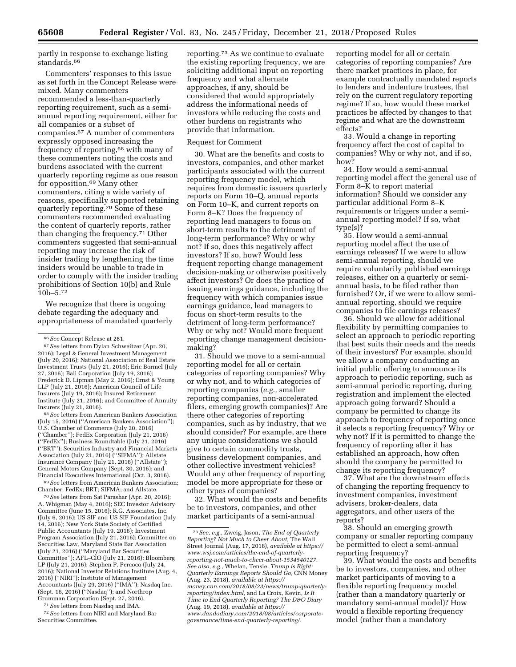partly in response to exchange listing standards.<sup>66</sup>

Commenters' responses to this issue as set forth in the Concept Release were mixed. Many commenters recommended a less-than-quarterly reporting requirement, such as a semiannual reporting requirement, either for all companies or a subset of companies.67 A number of commenters expressly opposed increasing the frequency of reporting,68 with many of these commenters noting the costs and burdens associated with the current quarterly reporting regime as one reason for opposition.69 Many other commenters, citing a wide variety of reasons, specifically supported retaining quarterly reporting.70 Some of these commenters recommended evaluating the content of quarterly reports, rather than changing the frequency.71 Other commenters suggested that semi-annual reporting may increase the risk of insider trading by lengthening the time insiders would be unable to trade in order to comply with the insider trading prohibitions of Section 10(b) and Rule 10b–5.72

We recognize that there is ongoing debate regarding the adequacy and appropriateness of mandated quarterly

68*See* letters from American Bankers Association (July 15, 2016) (''American Bankers Association''); U.S. Chamber of Commerce (July 20, 2016) (''Chamber''); FedEx Corporation (July 21, 2016) (''FedEx''); Business Roundtable (July 21, 2016) (''BRT''); Securities Industry and Financial Markets Association (July 21, 2016) (''SIFMA''); Allstate Insurance Company (July 21, 2016) (''Allstate''); General Motors Company (Sept. 30, 2016); and Financial Executives International (Oct. 3, 2016).

69*See* letters from American Bankers Association; Chamber; FedEx; BRT; SIFMA; and Allstate.

70*See* letters from Sat Parashar (Apr. 20, 2016); A. Whigman (May 4, 2016); SEC Investor Advisory Committee (June 15, 2016); R.G. Associates, Inc. (July 6, 2016); US SIF and US SIF Foundation (July 14, 2016); New York State Society of Certified Public Accountants (July 19, 2016); Investment Program Association (July 21, 2016); Committee on Securities Law, Maryland State Bar Association (July 21, 2016) (''Maryland Bar Securities Committee''); AFL–CIO (July 21, 2016); Bloomberg LP (July 21, 2016); Stephen P. Percoco (July 24, 2016); National Investor Relations Institute (Aug. 4, 2016) (''NIRI''); Institute of Management Accountants (July 29, 2016) (''IMA''); Nasdaq Inc. (Sept. 16, 2016) (''Nasdaq''); and Northrop Grumman Corporation (Sept. 27, 2016).

71*See* letters from Nasdaq and IMA.

72*See* letters from NIRI and Maryland Bar Securities Committee.

reporting.73 As we continue to evaluate the existing reporting frequency, we are soliciting additional input on reporting frequency and what alternate approaches, if any, should be considered that would appropriately address the informational needs of investors while reducing the costs and other burdens on registrants who provide that information.

#### Request for Comment

30. What are the benefits and costs to investors, companies, and other market participants associated with the current reporting frequency model, which requires from domestic issuers quarterly reports on Form 10–Q, annual reports on Form 10–K, and current reports on Form 8–K? Does the frequency of reporting lead managers to focus on short-term results to the detriment of long-term performance? Why or why not? If so, does this negatively affect investors? If so, how? Would less frequent reporting change management decision-making or otherwise positively affect investors? Or does the practice of issuing earnings guidance, including the frequency with which companies issue earnings guidance, lead managers to focus on short-term results to the detriment of long-term performance? Why or why not? Would more frequent reporting change management decisionmaking?

31. Should we move to a semi-annual reporting model for all or certain categories of reporting companies? Why or why not, and to which categories of reporting companies (*e.g.,* smaller reporting companies, non-accelerated filers, emerging growth companies)? Are there other categories of reporting companies, such as by industry, that we should consider? For example, are there any unique considerations we should give to certain commodity trusts, business development companies, and other collective investment vehicles? Would any other frequency of reporting model be more appropriate for these or other types of companies?

32. What would the costs and benefits be to investors, companies, and other market participants of a semi-annual

reporting model for all or certain categories of reporting companies? Are there market practices in place, for example contractually mandated reports to lenders and indenture trustees, that rely on the current regulatory reporting regime? If so, how would these market practices be affected by changes to that regime and what are the downstream effects?

33. Would a change in reporting frequency affect the cost of capital to companies? Why or why not, and if so, how?

34. How would a semi-annual reporting model affect the general use of Form 8–K to report material information? Should we consider any particular additional Form 8–K requirements or triggers under a semiannual reporting model? If so, what type(s)?

35. How would a semi-annual reporting model affect the use of earnings releases? If we were to allow semi-annual reporting, should we require voluntarily published earnings releases, either on a quarterly or semiannual basis, to be filed rather than furnished? Or, if we were to allow semiannual reporting, should we require companies to file earnings releases?

36. Should we allow for additional flexibility by permitting companies to select an approach to periodic reporting that best suits their needs and the needs of their investors? For example, should we allow a company conducting an initial public offering to announce its approach to periodic reporting, such as semi-annual periodic reporting, during registration and implement the elected approach going forward? Should a company be permitted to change its approach to frequency of reporting once it selects a reporting frequency? Why or why not? If it is permitted to change the frequency of reporting after it has established an approach, how often should the company be permitted to change its reporting frequency?

37. What are the downstream effects of changing the reporting frequency to investment companies, investment advisers, broker-dealers, data aggregators, and other users of the reports?

38. Should an emerging growth company or smaller reporting company be permitted to elect a semi-annual reporting frequency?

39. What would the costs and benefits be to investors, companies, and other market participants of moving to a flexible reporting frequency model (rather than a mandatory quarterly or mandatory semi-annual model)? How would a flexible reporting frequency model (rather than a mandatory

<sup>66</sup>*See* Concept Release at 281.

<sup>67</sup>*See* letters from Dylan Schweitzer (Apr. 20, 2016); Legal & General Investment Management (July 20, 2016); National Association of Real Estate Investment Trusts (July 21, 2016); Eric Bormel (July 27, 2016); Ball Corporation (July 19, 2016); Frederick D. Lipman (May 2, 2016); Ernst & Young LLP (July 21, 2016); American Council of Life Insurers (July 19, 2016); Insured Retirement Institute (July 21, 2016); and Committee of Annuity Insurers (July 21, 2016).

<sup>73</sup>*See, e.g.,* Zweig, Jason, *The End of Quarterly Reporting? Not Much to Cheer About,* The Wall Street Journal (Aug. 17, 2018), *available at [https://](https://www.wsj.com/articles/the-end-of-quarterly-reporting-not-much-to-cheer-about-1534540127)  [www.wsj.com/articles/the-end-of-quarterly](https://www.wsj.com/articles/the-end-of-quarterly-reporting-not-much-to-cheer-about-1534540127)[reporting-not-much-to-cheer-about-1534540127.](https://www.wsj.com/articles/the-end-of-quarterly-reporting-not-much-to-cheer-about-1534540127) See also, e.g.,* Whelan, Tensie, *Trump is Right: Quarterly Earnings Reports Should Go,* CNN Money (Aug. 23, 2018), *available at [https://](https://money.cnn.com/2018/08/23/news/trump-quarterly-reporting/index.html) [money.cnn.com/2018/08/23/news/trump-quarterly](https://money.cnn.com/2018/08/23/news/trump-quarterly-reporting/index.html)[reporting/index.html,](https://money.cnn.com/2018/08/23/news/trump-quarterly-reporting/index.html)* and La Croix, Kevin, *Is It Time to End Quarterly Reporting? The D&O Diary*  (Aug. 19, 2018), *available at [https://](https://www.dandodiary.com/2018/08/articles/corporate-governance/time-end-quarterly-reporting/) [www.dandodiary.com/2018/08/articles/corporate](https://www.dandodiary.com/2018/08/articles/corporate-governance/time-end-quarterly-reporting/)[governance/time-end-quarterly-reporting/.](https://www.dandodiary.com/2018/08/articles/corporate-governance/time-end-quarterly-reporting/)*